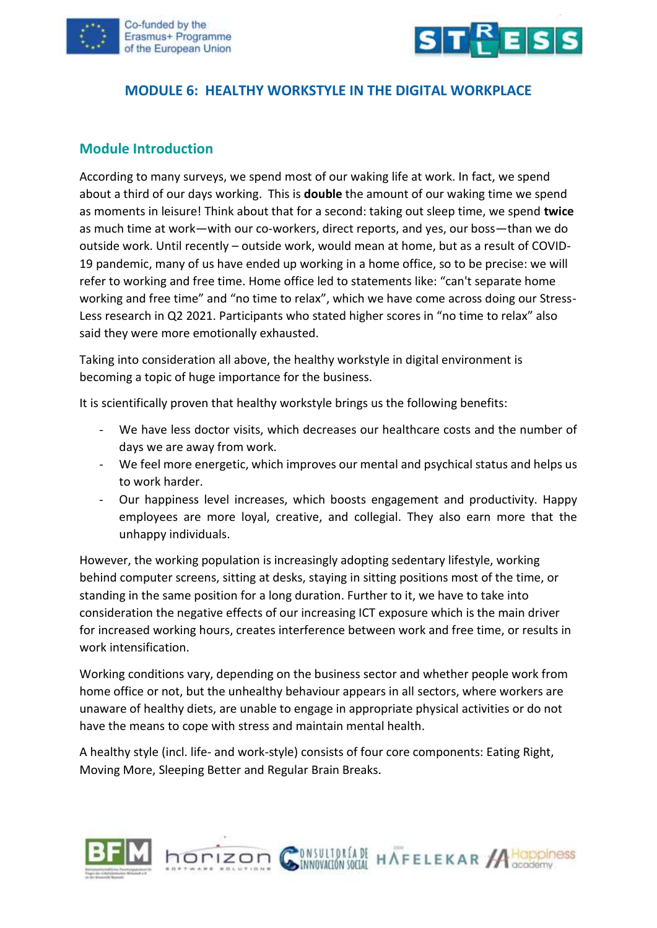



#### **MODULE 6: HEALTHY WORKSTYLE IN THE DIGITAL WORKPLACE**

#### **Module Introduction**

According to many surveys, we spend most of our waking life at work. In fact, we spend about a third of our days working. This is **double** the amount of our waking time we spend as moments in leisure! Think about that for a second: taking out sleep time, we spend **twice** as much time at work—with our co-workers, direct reports, and yes, our boss—than we do outside work. Until recently – outside work, would mean at home, but as a result of COVID-19 pandemic, many of us have ended up working in a home office, so to be precise: we will refer to working and free time. Home office led to statements like: "can't separate home working and free time" and "no time to relax", which we have come across doing our Stress-Less research in Q2 2021. Participants who stated higher scores in "no time to relax" also said they were more emotionally exhausted.

Taking into consideration all above, the healthy workstyle in digital environment is becoming a topic of huge importance for the business.

It is scientifically proven that healthy workstyle brings us the following benefits:

- We have less doctor visits, which decreases our healthcare costs and the number of days we are away from work.
- We feel more energetic, which improves our mental and psychical status and helps us to work harder.
- Our happiness level increases, which boosts engagement and productivity. Happy employees are more loyal, creative, and collegial. They also earn more that the unhappy individuals.

However, the working population is increasingly adopting sedentary lifestyle, working behind computer screens, sitting at desks, staying in sitting positions most of the time, or standing in the same position for a long duration. Further to it, we have to take into consideration the negative effects of our increasing ICT exposure which is the main driver for increased working hours, creates interference between work and free time, or results in work intensification.

Working conditions vary, depending on the business sector and whether people work from home office or not, but the unhealthy behaviour appears in all sectors, where workers are unaware of healthy diets, are unable to engage in appropriate physical activities or do not have the means to cope with stress and maintain mental health.

A healthy style (incl. life- and work-style) consists of four core components: Eating Right, Moving More, Sleeping Better and Regular Brain Breaks.

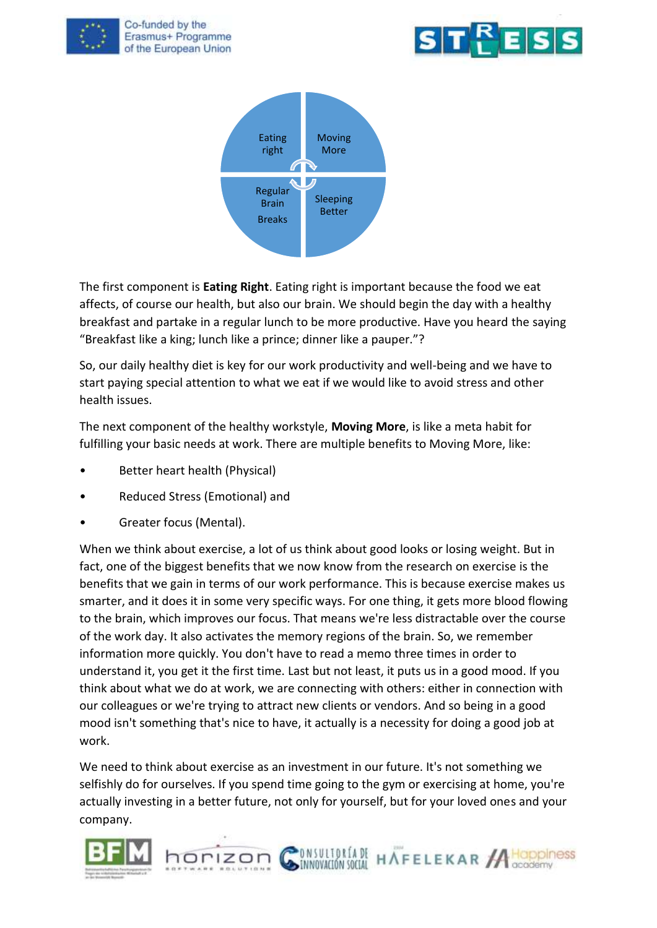





The first component is **Eating Right**. Eating right is important because the food we eat affects, of course our health, but also our brain. We should begin the day with a healthy breakfast and partake in a regular lunch to be more productive. Have you heard the saying "Breakfast like a king; lunch like a prince; dinner like a pauper."?

So, our daily healthy diet is key for our work productivity and well-being and we have to start paying special attention to what we eat if we would like to avoid stress and other health issues.

The next component of the healthy workstyle, **Moving More**, is like a meta habit for fulfilling your basic needs at work. There are multiple benefits to Moving More, like:

- Better heart health (Physical)
- Reduced Stress (Emotional) and
- Greater focus (Mental).

When we think about exercise, a lot of us think about good looks or losing weight. But in fact, one of the biggest benefits that we now know from the research on exercise is the benefits that we gain in terms of our work performance. This is because exercise makes us smarter, and it does it in some very specific ways. For one thing, it gets more blood flowing to the brain, which improves our focus. That means we're less distractable over the course of the work day. It also activates the memory regions of the brain. So, we remember information more quickly. You don't have to read a memo three times in order to understand it, you get it the first time. Last but not least, it puts us in a good mood. If you think about what we do at work, we are connecting with others: either in connection with our colleagues or we're trying to attract new clients or vendors. And so being in a good mood isn't something that's nice to have, it actually is a necessity for doing a good job at work.

We need to think about exercise as an investment in our future. It's not something we selfishly do for ourselves. If you spend time going to the gym or exercising at home, you're actually investing in a better future, not only for yourself, but for your loved ones and your company.



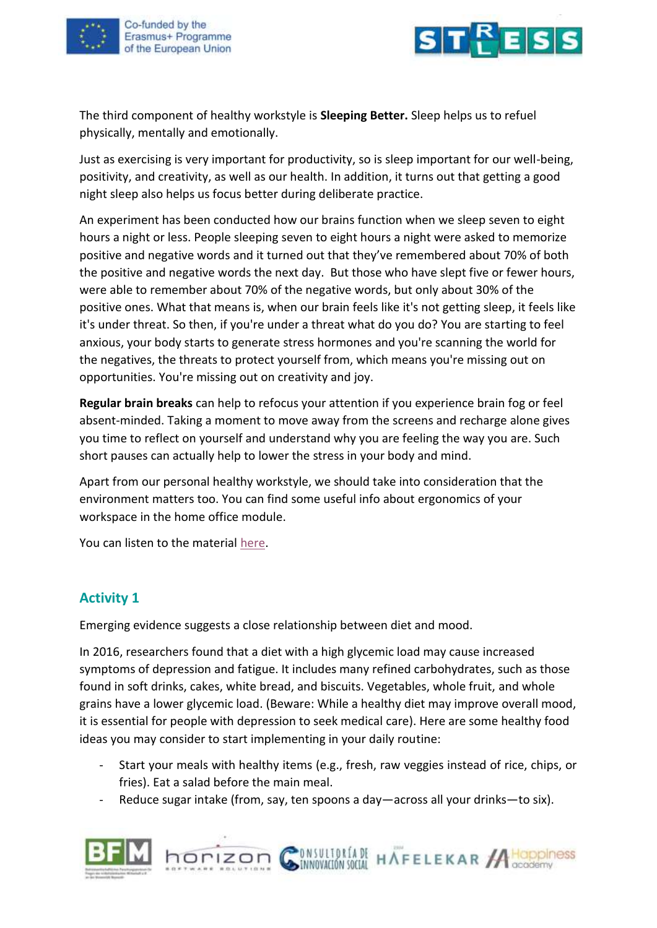



The third component of healthy workstyle is **Sleeping Better.** Sleep helps us to refuel physically, mentally and emotionally.

Just as exercising is very important for productivity, so is sleep important for our well-being, positivity, and creativity, as well as our health. In addition, it turns out that getting a good night sleep also helps us focus better during deliberate practice.

An experiment has been conducted how our brains function when we sleep seven to eight hours a night or less. People sleeping seven to eight hours a night were asked to memorize positive and negative words and it turned out that they've remembered about 70% of both the positive and negative words the next day. But those who have slept five or fewer hours, were able to remember about 70% of the negative words, but only about 30% of the positive ones. What that means is, when our brain feels like it's not getting sleep, it feels like it's under threat. So then, if you're under a threat what do you do? You are starting to feel anxious, your body starts to generate stress hormones and you're scanning the world for the negatives, the threats to protect yourself from, which means you're missing out on opportunities. You're missing out on creativity and joy.

**Regular brain breaks** can help to refocus your attention if you experience brain fog or feel absent-minded. Taking a moment to move away from the screens and recharge alone gives you time to reflect on yourself and understand why you are feeling the way you are. Such short pauses can actually help to lower the stress in your body and mind.

Apart from our personal healthy workstyle, we should take into consideration that the environment matters too. You can find some useful info about ergonomics of your workspace in the home office module.

You can listen to the material [here.](https://youtu.be/imPBph9zOBI)

## **Activity 1**

Emerging evidence suggests a close relationship between diet and mood.

horizon G

In 2016, researchers found that a diet with a high glycemic load may cause increased symptoms of depression and fatigue. It includes many refined carbohydrates, such as those found in soft drinks, cakes, white bread, and biscuits. Vegetables, whole fruit, and whole grains have a lower glycemic load. (Beware: While a healthy diet may improve overall mood, it is essential for people with depression to seek medical care). Here are some healthy food ideas you may consider to start implementing in your daily routine:

- Start your meals with healthy items (e.g., fresh, raw veggies instead of rice, chips, or fries). Eat a salad before the main meal.

ONSULTORÍADE HAFELEKAR ACOppiness

Reduce sugar intake (from, say, ten spoons a day—across all your drinks—to six).

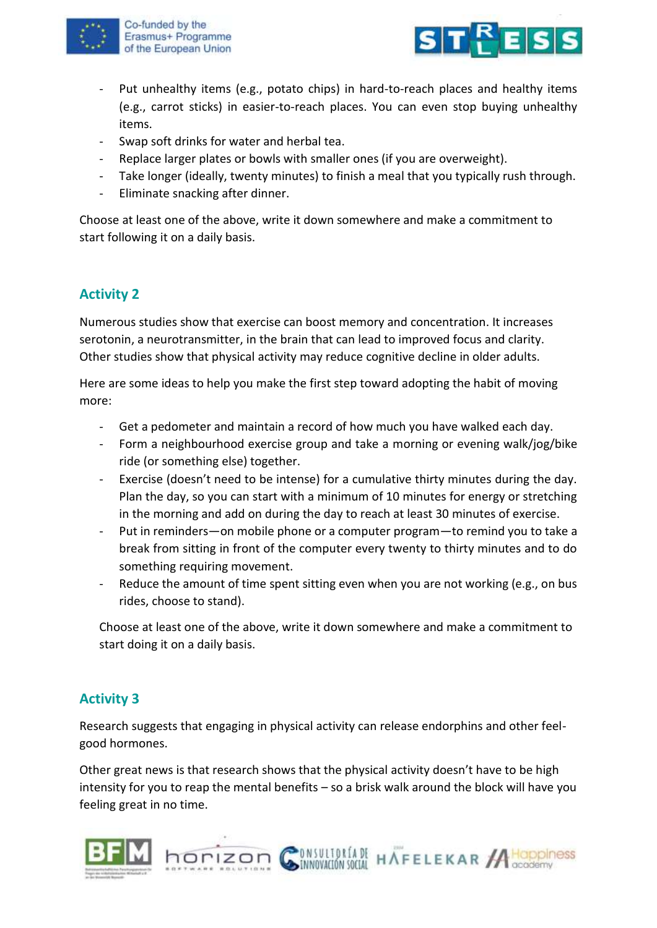



- Put unhealthy items (e.g., potato chips) in hard-to-reach places and healthy items (e.g., carrot sticks) in easier-to-reach places. You can even stop buying unhealthy items.
- Swap soft drinks for water and herbal tea.
- Replace larger plates or bowls with smaller ones (if you are overweight).
- Take longer (ideally, twenty minutes) to finish a meal that you typically rush through.
- Eliminate snacking after dinner.

Choose at least one of the above, write it down somewhere and make a commitment to start following it on a daily basis.

# **Activity 2**

Numerous studies show that exercise can boost memory and concentration. It increases serotonin, a neurotransmitter, in the brain that can lead to improved focus and clarity. Other studies show that physical activity may reduce cognitive decline in older adults.

Here are some ideas to help you make the first step toward adopting the habit of moving more:

- Get a pedometer and maintain a record of how much you have walked each day.
- Form a neighbourhood exercise group and take a morning or evening walk/jog/bike ride (or something else) together.
- Exercise (doesn't need to be intense) for a cumulative thirty minutes during the day. Plan the day, so you can start with a minimum of 10 minutes for energy or stretching in the morning and add on during the day to reach at least 30 minutes of exercise.
- Put in reminders—on mobile phone or a computer program—to remind you to take a break from sitting in front of the computer every twenty to thirty minutes and to do something requiring movement.
- Reduce the amount of time spent sitting even when you are not working (e.g., on bus rides, choose to stand).

Choose at least one of the above, write it down somewhere and make a commitment to start doing it on a daily basis.

# **Activity 3**

Research suggests that engaging in physical activity can release endorphins and other feelgood hormones.

Other great news is that research shows that the physical activity doesn't have to be high intensity for you to reap the mental benefits – so a brisk walk around the block will have you feeling great in no time.

INVESTIGATE HAFFELEKAR ACODOMISS



horizon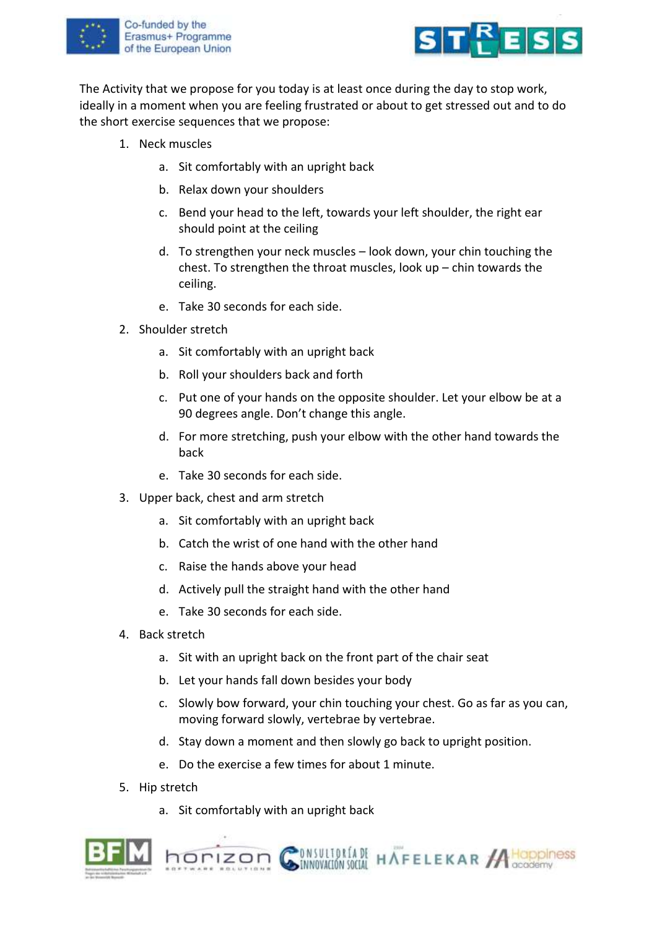



The Activity that we propose for you today is at least once during the day to stop work, ideally in a moment when you are feeling frustrated or about to get stressed out and to do the short exercise sequences that we propose:

- 1. Neck muscles
	- a. Sit comfortably with an upright back
	- b. Relax down your shoulders
	- c. Bend your head to the left, towards your left shoulder, the right ear should point at the ceiling
	- d. To strengthen your neck muscles look down, your chin touching the chest. To strengthen the throat muscles, look  $up$  – chin towards the ceiling.
	- e. Take 30 seconds for each side.
- 2. Shoulder stretch
	- a. Sit comfortably with an upright back
	- b. Roll your shoulders back and forth
	- c. Put one of your hands on the opposite shoulder. Let your elbow be at a 90 degrees angle. Don't change this angle.
	- d. For more stretching, push your elbow with the other hand towards the back
	- e. Take 30 seconds for each side.
- 3. Upper back, chest and arm stretch
	- a. Sit comfortably with an upright back
	- b. Catch the wrist of one hand with the other hand
	- c. Raise the hands above your head
	- d. Actively pull the straight hand with the other hand
	- e. Take 30 seconds for each side.
- 4. Back stretch
	- a. Sit with an upright back on the front part of the chair seat
	- b. Let your hands fall down besides your body
	- c. Slowly bow forward, your chin touching your chest. Go as far as you can, moving forward slowly, vertebrae by vertebrae.
	- d. Stay down a moment and then slowly go back to upright position.
	- e. Do the exercise a few times for about 1 minute.
- 5. Hip stretch
	- a. Sit comfortably with an upright back



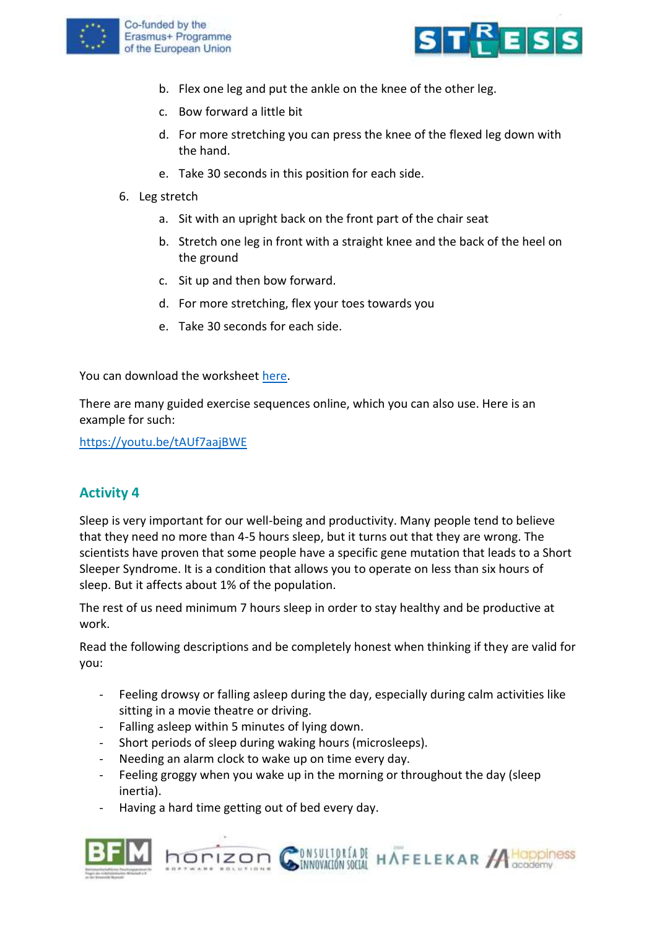



- b. Flex one leg and put the ankle on the knee of the other leg.
- c. Bow forward a little bit
- d. For more stretching you can press the knee of the flexed leg down with the hand.
- e. Take 30 seconds in this position for each side.
- 6. Leg stretch
	- a. Sit with an upright back on the front part of the chair seat
	- b. Stretch one leg in front with a straight knee and the back of the heel on the ground
	- c. Sit up and then bow forward.
	- d. For more stretching, flex your toes towards you
	- e. Take 30 seconds for each side.

You can download the worksheet [here.](https://www.stress-less-project.eu/uploads/ACTIVITY%203%20EN.pdf)

There are many guided exercise sequences online, which you can also use. Here is an example for such:

<https://youtu.be/tAUf7aajBWE>

## **Activity 4**

Sleep is very important for our well-being and productivity. Many people tend to believe that they need no more than 4-5 hours sleep, but it turns out that they are wrong. The scientists have proven that some people have a specific gene mutation that leads to a Short Sleeper Syndrome. It is a condition that allows you to operate on less than six hours of sleep. But it affects about 1% of the population.

The rest of us need minimum 7 hours sleep in order to stay healthy and be productive at work.

Read the following descriptions and be completely honest when thinking if they are valid for you:

- Feeling drowsy or falling asleep during the day, especially during calm activities like sitting in a movie theatre or driving.
- Falling asleep within 5 minutes of lying down.
- Short periods of sleep during waking hours (microsleeps).
- Needing an alarm clock to wake up on time every day.
- Feeling groggy when you wake up in the morning or throughout the day (sleep inertia).

**DISULTORÍA DE HAFELEKAR A HOPPINESS** 

Having a hard time getting out of bed every day.

horizon

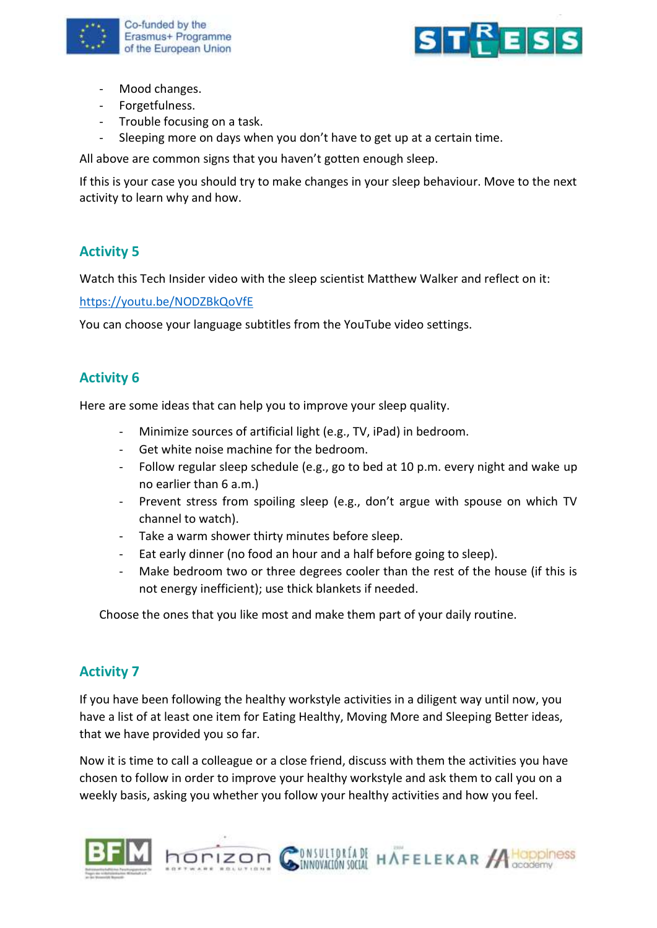



- Mood changes.
- Forgetfulness.
- Trouble focusing on a task.
- Sleeping more on days when you don't have to get up at a certain time.

All above are common signs that you haven't gotten enough sleep.

If this is your case you should try to make changes in your sleep behaviour. Move to the next activity to learn why and how.

## **Activity 5**

Watch this Tech Insider video with the sleep scientist Matthew Walker and reflect on it:

<https://youtu.be/NODZBkQoVfE>

You can choose your language subtitles from the YouTube video settings.

## **Activity 6**

Here are some ideas that can help you to improve your sleep quality.

- Minimize sources of artificial light (e.g., TV, iPad) in bedroom.
- Get white noise machine for the bedroom.
- Follow regular sleep schedule (e.g., go to bed at 10 p.m. every night and wake up no earlier than 6 a.m.)
- Prevent stress from spoiling sleep (e.g., don't argue with spouse on which TV channel to watch).
- Take a warm shower thirty minutes before sleep.

horizon  $\mathcal C$ 

- Eat early dinner (no food an hour and a half before going to sleep).
- Make bedroom two or three degrees cooler than the rest of the house (if this is not energy inefficient); use thick blankets if needed.

Choose the ones that you like most and make them part of your daily routine.

## **Activity 7**

If you have been following the healthy workstyle activities in a diligent way until now, you have a list of at least one item for Eating Healthy, Moving More and Sleeping Better ideas, that we have provided you so far.

Now it is time to call a colleague or a close friend, discuss with them the activities you have chosen to follow in order to improve your healthy workstyle and ask them to call you on a weekly basis, asking you whether you follow your healthy activities and how you feel.

ONSULTORÍADE HAFELEKAR ACOppiness